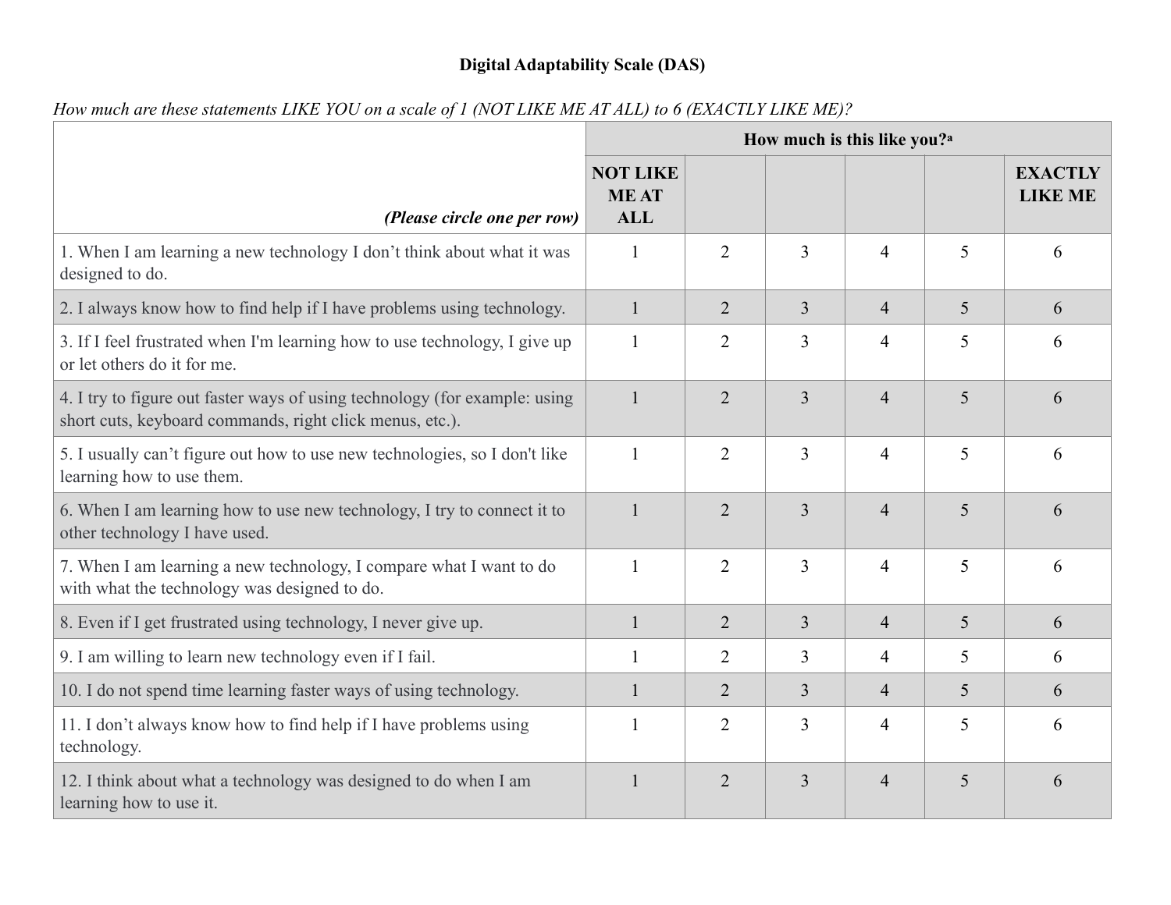## **Digital Adaptability Scale (DAS)**

|                                                                                                                                        | How much is this like you? <sup>a</sup>      |                |                |                |   |                                  |  |
|----------------------------------------------------------------------------------------------------------------------------------------|----------------------------------------------|----------------|----------------|----------------|---|----------------------------------|--|
| (Please circle one per row)                                                                                                            | <b>NOT LIKE</b><br><b>MEAT</b><br><b>ALL</b> |                |                |                |   | <b>EXACTLY</b><br><b>LIKE ME</b> |  |
| 1. When I am learning a new technology I don't think about what it was<br>designed to do.                                              |                                              | $\overline{2}$ | 3              | $\overline{4}$ | 5 | 6                                |  |
| 2. I always know how to find help if I have problems using technology.                                                                 | $\mathbf{1}$                                 | $\overline{2}$ | $\overline{3}$ | $\overline{4}$ | 5 | 6                                |  |
| 3. If I feel frustrated when I'm learning how to use technology, I give up<br>or let others do it for me.                              |                                              | $\overline{2}$ | 3              | $\overline{4}$ | 5 | 6                                |  |
| 4. I try to figure out faster ways of using technology (for example: using<br>short cuts, keyboard commands, right click menus, etc.). |                                              | $\overline{2}$ | $\overline{3}$ | $\overline{4}$ | 5 | 6                                |  |
| 5. I usually can't figure out how to use new technologies, so I don't like<br>learning how to use them.                                | $\mathbf{1}$                                 | $\overline{2}$ | $\overline{3}$ | $\overline{4}$ | 5 | 6                                |  |
| 6. When I am learning how to use new technology, I try to connect it to<br>other technology I have used.                               |                                              | $\overline{2}$ | $\overline{3}$ | $\overline{4}$ | 5 | 6                                |  |
| 7. When I am learning a new technology, I compare what I want to do<br>with what the technology was designed to do.                    | $\mathbf{1}$                                 | $\overline{2}$ | $\overline{3}$ | $\overline{4}$ | 5 | 6                                |  |
| 8. Even if I get frustrated using technology, I never give up.                                                                         | $\mathbf{1}$                                 | $\overline{2}$ | $\overline{3}$ | $\overline{4}$ | 5 | 6                                |  |
| 9. I am willing to learn new technology even if I fail.                                                                                |                                              | $\overline{2}$ | 3              | $\overline{4}$ | 5 | 6                                |  |
| 10. I do not spend time learning faster ways of using technology.                                                                      |                                              | $\overline{2}$ | $\overline{3}$ | $\overline{4}$ | 5 | 6                                |  |
| 11. I don't always know how to find help if I have problems using<br>technology.                                                       |                                              | $\overline{2}$ | $\overline{3}$ | $\overline{4}$ | 5 | 6                                |  |
| 12. I think about what a technology was designed to do when I am<br>learning how to use it.                                            |                                              | $\overline{2}$ | $\overline{3}$ | $\overline{4}$ | 5 | 6                                |  |

*How much are these statements LIKE YOU on a scale of 1 (NOT LIKE ME AT ALL) to 6 (EXACTLY LIKE ME)?*